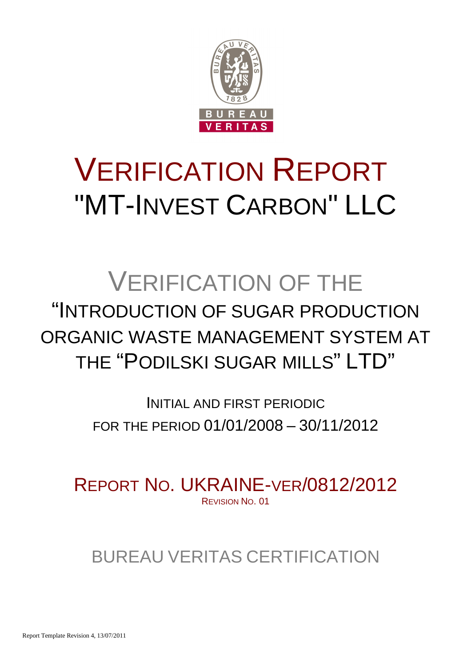

# VERIFICATION REPORT "MT-INVEST CARBON" LLC

## VERIFICATION OF THE "INTRODUCTION OF SUGAR PRODUCTION ORGANIC WASTE MANAGEMENT SYSTEM AT THE "PODILSKI SUGAR MILLS" LTD"

INITIAL AND FIRST PERIODIC FOR THE PERIOD 01/01/2008 – 30/11/2012

REPORT NO. UKRAINE-VER/0812/2012 REVISION NO. 01

BUREAU VERITAS CERTIFICATION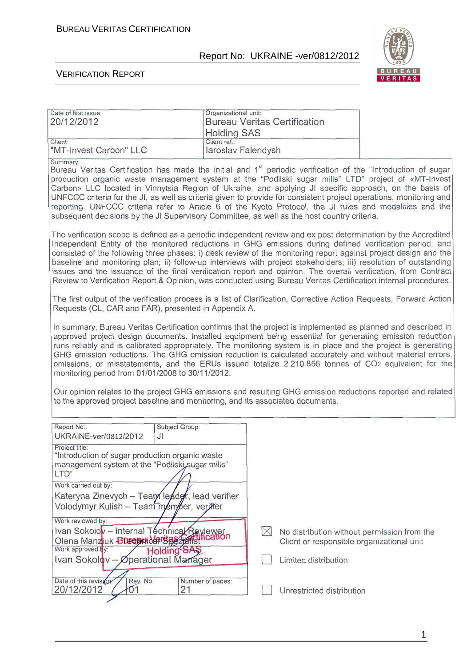

#### VERIFICATION REPORT

| Date of first issue:<br>20/12/2012                                                                                                                                                                                                                                                                                                                                                                                                                                                                                                                                                                                                                                                                                                                                                                                    | Organizational unit:                                                                                                                                                                                                                                                                                                                                                                                                                                                                                                                                                                                                                                                                                |             | <b>Bureau Veritas Certification</b>                                                      |  |  |  |
|-----------------------------------------------------------------------------------------------------------------------------------------------------------------------------------------------------------------------------------------------------------------------------------------------------------------------------------------------------------------------------------------------------------------------------------------------------------------------------------------------------------------------------------------------------------------------------------------------------------------------------------------------------------------------------------------------------------------------------------------------------------------------------------------------------------------------|-----------------------------------------------------------------------------------------------------------------------------------------------------------------------------------------------------------------------------------------------------------------------------------------------------------------------------------------------------------------------------------------------------------------------------------------------------------------------------------------------------------------------------------------------------------------------------------------------------------------------------------------------------------------------------------------------------|-------------|------------------------------------------------------------------------------------------|--|--|--|
|                                                                                                                                                                                                                                                                                                                                                                                                                                                                                                                                                                                                                                                                                                                                                                                                                       | <b>Holding SAS</b>                                                                                                                                                                                                                                                                                                                                                                                                                                                                                                                                                                                                                                                                                  |             |                                                                                          |  |  |  |
| Client:<br>"MT-Invest Carbon" LLC                                                                                                                                                                                                                                                                                                                                                                                                                                                                                                                                                                                                                                                                                                                                                                                     | Client ref.:<br>laroslav Falendysh                                                                                                                                                                                                                                                                                                                                                                                                                                                                                                                                                                                                                                                                  |             |                                                                                          |  |  |  |
| Summary:<br>Bureau Veritas Certification has made the initial and 1 <sup>st</sup> periodic verification of the "Introduction of sugar<br>production organic waste management system at the "Podilski sugar mills" LTD" project of «MT-Invest<br>Carbon» LLC located in Vinnytsia Region of Ukraine, and applying JI specific approach, on the basis of<br>UNFCCC criteria for the JI, as well as criteria given to provide for consistent project operations, monitoring and<br>reporting. UNFCCC criteria refer to Article 6 of the Kyoto Protocol, the JI rules and modalities and the<br>subsequent decisions by the JI Supervisory Committee, as well as the host country criteria.                                                                                                                               |                                                                                                                                                                                                                                                                                                                                                                                                                                                                                                                                                                                                                                                                                                     |             |                                                                                          |  |  |  |
|                                                                                                                                                                                                                                                                                                                                                                                                                                                                                                                                                                                                                                                                                                                                                                                                                       | The verification scope is defined as a periodic independent review and ex post determination by the Accredited<br>Independent Entity of the monitored reductions in GHG emissions during defined verification period, and<br>consisted of the following three phases: i) desk review of the monitoring report against project design and the<br>baseline and monitoring plan; ii) follow-up interviews with project stakeholders; iii) resolution of outstanding<br>issues and the issuance of the final verification report and opinion. The overall verification, from Contract<br>Review to Verification Report & Opinion, was conducted using Bureau Veritas Certification internal procedures. |             |                                                                                          |  |  |  |
| The first output of the verification process is a list of Clarification, Corrective Action Requests, Forward Action<br>Requests (CL, CAR and FAR), presented in Appendix A.                                                                                                                                                                                                                                                                                                                                                                                                                                                                                                                                                                                                                                           |                                                                                                                                                                                                                                                                                                                                                                                                                                                                                                                                                                                                                                                                                                     |             |                                                                                          |  |  |  |
| In summary, Bureau Veritas Certification confirms that the project is implemented as planned and described in<br>approved project design documents. Installed equipment being essential for generating emission reduction<br>runs reliably and is calibrated appropriately. The monitoring system is in place and the project is generating<br>GHG emission reductions. The GHG emission reduction is calculated accurately and without material errors,<br>omissions, or misstatements, and the ERUs issued totalize 2 210 856 tonnes of CO2 equivalent for the<br>monitoring period from 01/01/2008 to 30/11/2012.<br>Our opinion relates to the project GHG emissions and resulting GHG emission reductions reported and related<br>to the approved project baseline and monitoring, and its associated documents. |                                                                                                                                                                                                                                                                                                                                                                                                                                                                                                                                                                                                                                                                                                     |             |                                                                                          |  |  |  |
| Report No.:<br>UKRAINE-ver/0812/2012<br>JI                                                                                                                                                                                                                                                                                                                                                                                                                                                                                                                                                                                                                                                                                                                                                                            | Subject Group:                                                                                                                                                                                                                                                                                                                                                                                                                                                                                                                                                                                                                                                                                      |             |                                                                                          |  |  |  |
| Project title:<br>"Introduction of sugar production organic waste<br>management system at the "Podilski sugar mills"<br>LTD"                                                                                                                                                                                                                                                                                                                                                                                                                                                                                                                                                                                                                                                                                          |                                                                                                                                                                                                                                                                                                                                                                                                                                                                                                                                                                                                                                                                                                     |             |                                                                                          |  |  |  |
| Work carried out by:<br>Kateryna Zinevych - Tean leader, lead verifier<br>Volodymyr Kulish - Team member, verifter                                                                                                                                                                                                                                                                                                                                                                                                                                                                                                                                                                                                                                                                                                    |                                                                                                                                                                                                                                                                                                                                                                                                                                                                                                                                                                                                                                                                                                     |             |                                                                                          |  |  |  |
| Work reviewed by:<br>Ivan Sokolov - Internal Technical Reviewer<br>Olena Manzjuk Blue atidarsa<br>Work approved by:<br>Holding SAS                                                                                                                                                                                                                                                                                                                                                                                                                                                                                                                                                                                                                                                                                    |                                                                                                                                                                                                                                                                                                                                                                                                                                                                                                                                                                                                                                                                                                     | $\boxtimes$ | No distribution without permission from the<br>Client or responsible organizational unit |  |  |  |
| Ivan Sokolov - Øperational Manager                                                                                                                                                                                                                                                                                                                                                                                                                                                                                                                                                                                                                                                                                                                                                                                    |                                                                                                                                                                                                                                                                                                                                                                                                                                                                                                                                                                                                                                                                                                     |             | Limited distribution                                                                     |  |  |  |
| Date of this revision.<br>Rey. No.:<br>20/12/2012<br>$\mathsf{U}1$                                                                                                                                                                                                                                                                                                                                                                                                                                                                                                                                                                                                                                                                                                                                                    | Number of pages:<br>21                                                                                                                                                                                                                                                                                                                                                                                                                                                                                                                                                                                                                                                                              |             | Unrestricted distribution                                                                |  |  |  |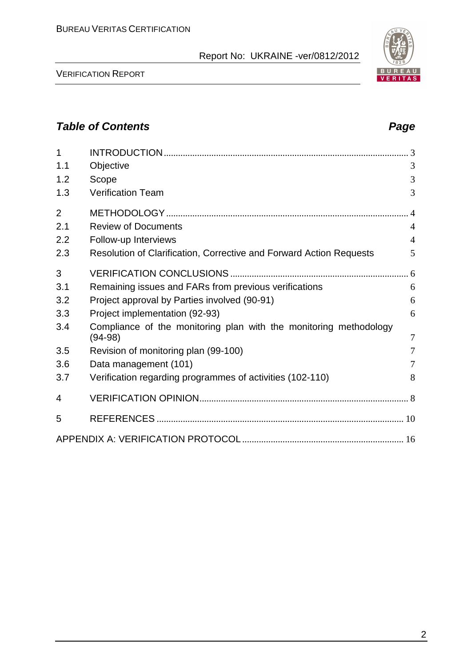

## **Table of Contents Page 2018**

| 1              |                                                                                | 3              |
|----------------|--------------------------------------------------------------------------------|----------------|
| 1.1            | Objective                                                                      | 3              |
| 1.2            | Scope                                                                          | 3              |
| 1.3            | <b>Verification Team</b>                                                       | 3              |
| $\overline{2}$ |                                                                                |                |
| 2.1            | <b>Review of Documents</b>                                                     | $\overline{4}$ |
| 2.2            | Follow-up Interviews                                                           | $\overline{4}$ |
| 2.3            | Resolution of Clarification, Corrective and Forward Action Requests            | 5              |
| 3              |                                                                                |                |
| 3.1            | Remaining issues and FARs from previous verifications                          | 6              |
| 3.2            | Project approval by Parties involved (90-91)                                   | 6              |
| 3.3            | Project implementation (92-93)                                                 | 6              |
| 3.4            | Compliance of the monitoring plan with the monitoring methodology<br>$(94-98)$ | $\overline{7}$ |
| 3.5            | Revision of monitoring plan (99-100)                                           | $\overline{7}$ |
| 3.6            | Data management (101)                                                          | 7              |
| 3.7            | Verification regarding programmes of activities (102-110)                      | 8              |
| 4              |                                                                                |                |
| 5              |                                                                                |                |
|                |                                                                                |                |

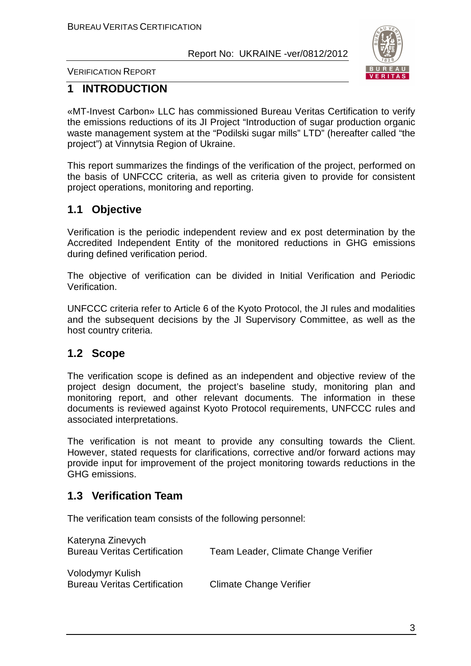

VERIFICATION REPORT

## **1 INTRODUCTION**

«MT-Invest Carbon» LLC has commissioned Bureau Veritas Certification to verify the emissions reductions of its JI Project "Introduction of sugar production organic waste management system at the "Podilski sugar mills" LTD" (hereafter called "the project") at Vinnytsia Region of Ukraine.

This report summarizes the findings of the verification of the project, performed on the basis of UNFCCC criteria, as well as criteria given to provide for consistent project operations, monitoring and reporting.

## **1.1 Objective**

Verification is the periodic independent review and ex post determination by the Accredited Independent Entity of the monitored reductions in GHG emissions during defined verification period.

The objective of verification can be divided in Initial Verification and Periodic Verification.

UNFCCC criteria refer to Article 6 of the Kyoto Protocol, the JI rules and modalities and the subsequent decisions by the JI Supervisory Committee, as well as the host country criteria.

## **1.2 Scope**

The verification scope is defined as an independent and objective review of the project design document, the project's baseline study, monitoring plan and monitoring report, and other relevant documents. The information in these documents is reviewed against Kyoto Protocol requirements, UNFCCC rules and associated interpretations.

The verification is not meant to provide any consulting towards the Client. However, stated requests for clarifications, corrective and/or forward actions may provide input for improvement of the project monitoring towards reductions in the GHG emissions.

## **1.3 Verification Team**

The verification team consists of the following personnel:

| Kateryna Zinevych<br><b>Bureau Veritas Certification</b> | Team Leader, Climate Change Verifier |
|----------------------------------------------------------|--------------------------------------|
| Volodymyr Kulish<br><b>Bureau Veritas Certification</b>  | <b>Climate Change Verifier</b>       |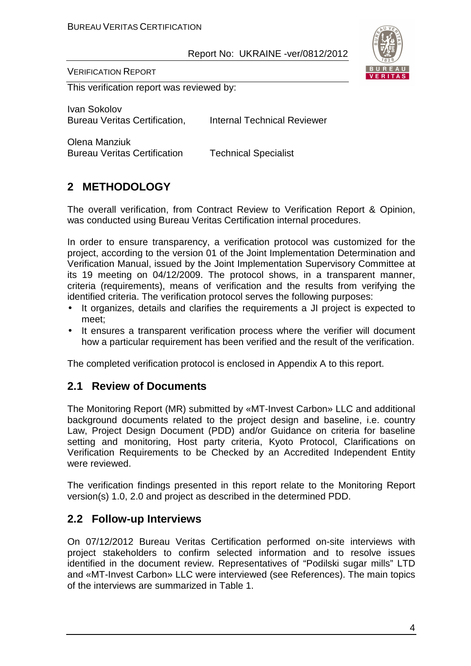

VERIFICATION REPORT

This verification report was reviewed by:

Ivan Sokolov Bureau Veritas Certification. Internal Technical Reviewer

Olena Manziuk Bureau Veritas Certification Technical Specialist

## **2 METHODOLOGY**

The overall verification, from Contract Review to Verification Report & Opinion, was conducted using Bureau Veritas Certification internal procedures.

In order to ensure transparency, a verification protocol was customized for the project, according to the version 01 of the Joint Implementation Determination and Verification Manual, issued by the Joint Implementation Supervisory Committee at its 19 meeting on 04/12/2009. The protocol shows, in a transparent manner, criteria (requirements), means of verification and the results from verifying the identified criteria. The verification protocol serves the following purposes:

- It organizes, details and clarifies the requirements a JI project is expected to meet;
- It ensures a transparent verification process where the verifier will document how a particular requirement has been verified and the result of the verification.

The completed verification protocol is enclosed in Appendix A to this report.

## **2.1 Review of Documents**

The Monitoring Report (MR) submitted by «MT-Invest Carbon» LLC and additional background documents related to the project design and baseline, i.e. country Law, Project Design Document (PDD) and/or Guidance on criteria for baseline setting and monitoring, Host party criteria, Kyoto Protocol, Clarifications on Verification Requirements to be Checked by an Accredited Independent Entity were reviewed.

The verification findings presented in this report relate to the Monitoring Report version(s) 1.0, 2.0 and project as described in the determined PDD.

## **2.2 Follow-up Interviews**

On 07/12/2012 Bureau Veritas Certification performed on-site interviews with project stakeholders to confirm selected information and to resolve issues identified in the document review. Representatives of "Podilski sugar mills" LTD and «MT-Invest Carbon» LLC were interviewed (see References). The main topics of the interviews are summarized in Table 1.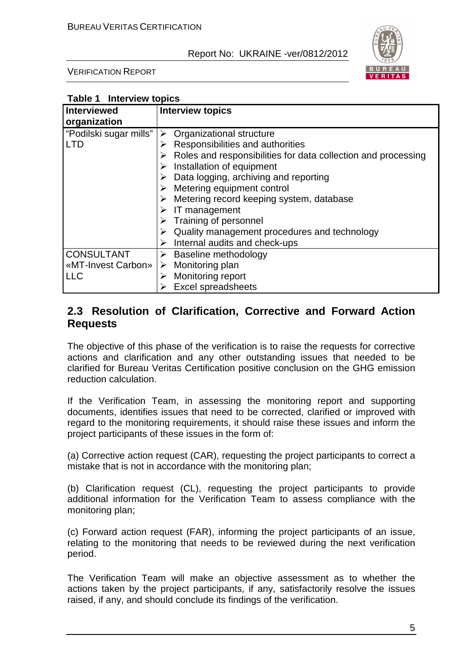

VERIFICATION REPORT

| Table 1 Interview topics |                                                                    |
|--------------------------|--------------------------------------------------------------------|
| <b>Interviewed</b>       | <b>Interview topics</b>                                            |
| organization             |                                                                    |
| "Podilski sugar mills"   | Organizational structure<br>➤                                      |
| <b>LTD</b>               | Responsibilities and authorities<br>➤                              |
|                          | Roles and responsibilities for data collection and processing<br>➤ |
|                          | Installation of equipment<br>➤                                     |
|                          | Data logging, archiving and reporting<br>➤                         |
|                          | Metering equipment control<br>➤                                    |
|                          | Metering record keeping system, database<br>➤                      |
|                          | IT management<br>➤                                                 |
|                          | Training of personnel<br>➤                                         |
|                          | Quality management procedures and technology<br>➤                  |
|                          | Internal audits and check-ups<br>➤                                 |
| <b>CONSULTANT</b>        | Baseline methodology<br>➤                                          |
| «MT-Invest Carbon»       | Monitoring plan<br>➤                                               |
| <b>LLC</b>               | Monitoring report<br>➤                                             |
|                          | <b>Excel spreadsheets</b>                                          |

## **2.3 Resolution of Clarification, Corrective and Forward Action Requests**

The objective of this phase of the verification is to raise the requests for corrective actions and clarification and any other outstanding issues that needed to be clarified for Bureau Veritas Certification positive conclusion on the GHG emission reduction calculation.

If the Verification Team, in assessing the monitoring report and supporting documents, identifies issues that need to be corrected, clarified or improved with regard to the monitoring requirements, it should raise these issues and inform the project participants of these issues in the form of:

(a) Corrective action request (CAR), requesting the project participants to correct a mistake that is not in accordance with the monitoring plan;

(b) Clarification request (CL), requesting the project participants to provide additional information for the Verification Team to assess compliance with the monitoring plan;

(c) Forward action request (FAR), informing the project participants of an issue, relating to the monitoring that needs to be reviewed during the next verification period.

The Verification Team will make an objective assessment as to whether the actions taken by the project participants, if any, satisfactorily resolve the issues raised, if any, and should conclude its findings of the verification.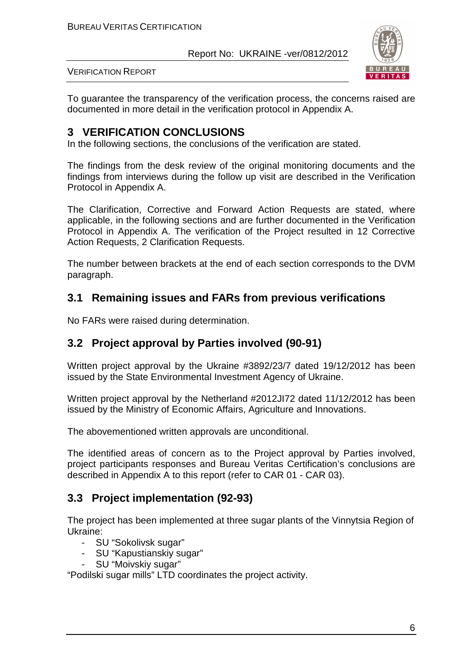

VERIFICATION REPORT

To guarantee the transparency of the verification process, the concerns raised are documented in more detail in the verification protocol in Appendix A.

## **3 VERIFICATION CONCLUSIONS**

In the following sections, the conclusions of the verification are stated.

The findings from the desk review of the original monitoring documents and the findings from interviews during the follow up visit are described in the Verification Protocol in Appendix A.

The Clarification, Corrective and Forward Action Requests are stated, where applicable, in the following sections and are further documented in the Verification Protocol in Appendix A. The verification of the Project resulted in 12 Corrective Action Requests, 2 Clarification Requests.

The number between brackets at the end of each section corresponds to the DVM paragraph.

## **3.1 Remaining issues and FARs from previous verifications**

No FARs were raised during determination.

## **3.2 Project approval by Parties involved (90-91)**

Written project approval by the Ukraine #3892/23/7 dated 19/12/2012 has been issued by the State Environmental Investment Agency of Ukraine.

Written project approval by the Netherland #2012JI72 dated 11/12/2012 has been issued by the Ministry of Economic Affairs, Agriculture and Innovations.

The abovementioned written approvals are unconditional.

The identified areas of concern as to the Project approval by Parties involved, project participants responses and Bureau Veritas Certification's conclusions are described in Appendix A to this report (refer to CAR 01 - CAR 03).

## **3.3 Project implementation (92-93)**

The project has been implemented at three sugar plants of the Vinnytsia Region of Ukraine:

- SU "Sokolivsk sugar"
- SU "Kapustianskiy sugar"
- SU "Moivskiy sugar"

"Podilski sugar mills" LTD coordinates the project activity.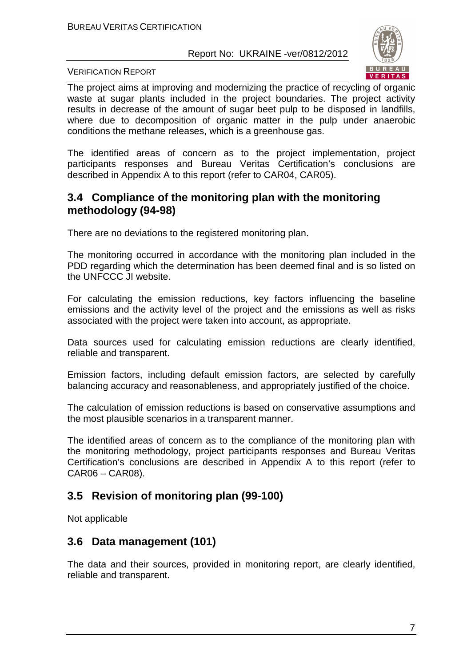

#### VERIFICATION REPORT

The project aims at improving and modernizing the practice of recycling of organic waste at sugar plants included in the project boundaries. The project activity results in decrease of the amount of sugar beet pulp to be disposed in landfills, where due to decomposition of organic matter in the pulp under anaerobic conditions the methane releases, which is a greenhouse gas.

The identified areas of concern as to the project implementation, project participants responses and Bureau Veritas Certification's conclusions are described in Appendix A to this report (refer to CAR04, CAR05).

## **3.4 Compliance of the monitoring plan with the monitoring methodology (94-98)**

There are no deviations to the registered monitoring plan.

The monitoring occurred in accordance with the monitoring plan included in the PDD regarding which the determination has been deemed final and is so listed on the UNFCCC JI website.

For calculating the emission reductions, key factors influencing the baseline emissions and the activity level of the project and the emissions as well as risks associated with the project were taken into account, as appropriate.

Data sources used for calculating emission reductions are clearly identified, reliable and transparent.

Emission factors, including default emission factors, are selected by carefully balancing accuracy and reasonableness, and appropriately justified of the choice.

The calculation of emission reductions is based on conservative assumptions and the most plausible scenarios in a transparent manner.

The identified areas of concern as to the compliance of the monitoring plan with the monitoring methodology, project participants responses and Bureau Veritas Certification's conclusions are described in Appendix A to this report (refer to CAR06 – CAR08).

## **3.5 Revision of monitoring plan (99-100)**

Not applicable

## **3.6 Data management (101)**

The data and their sources, provided in monitoring report, are clearly identified, reliable and transparent.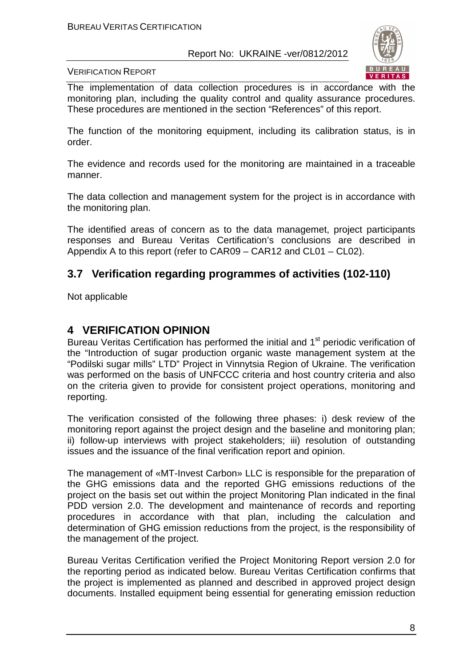

VERIFICATION REPORT

The implementation of data collection procedures is in accordance with the monitoring plan, including the quality control and quality assurance procedures. These procedures are mentioned in the section "References" of this report.

The function of the monitoring equipment, including its calibration status, is in order.

The evidence and records used for the monitoring are maintained in a traceable manner.

The data collection and management system for the project is in accordance with the monitoring plan.

The identified areas of concern as to the data managemet, project participants responses and Bureau Veritas Certification's conclusions are described in Appendix A to this report (refer to CAR09 – CAR12 and CL01 – CL02).

## **3.7 Verification regarding programmes of activities (102-110)**

Not applicable

## **4 VERIFICATION OPINION**

Bureau Veritas Certification has performed the initial and 1<sup>st</sup> periodic verification of the "Introduction of sugar production organic waste management system at the "Podilski sugar mills" LTD" Project in Vinnytsia Region of Ukraine. The verification was performed on the basis of UNFCCC criteria and host country criteria and also on the criteria given to provide for consistent project operations, monitoring and reporting.

The verification consisted of the following three phases: i) desk review of the monitoring report against the project design and the baseline and monitoring plan; ii) follow-up interviews with project stakeholders; iii) resolution of outstanding issues and the issuance of the final verification report and opinion.

The management of «MT-Invest Carbon» LLC is responsible for the preparation of the GHG emissions data and the reported GHG emissions reductions of the project on the basis set out within the project Monitoring Plan indicated in the final PDD version 2.0. The development and maintenance of records and reporting procedures in accordance with that plan, including the calculation and determination of GHG emission reductions from the project, is the responsibility of the management of the project.

Bureau Veritas Certification verified the Project Monitoring Report version 2.0 for the reporting period as indicated below. Bureau Veritas Certification confirms that the project is implemented as planned and described in approved project design documents. Installed equipment being essential for generating emission reduction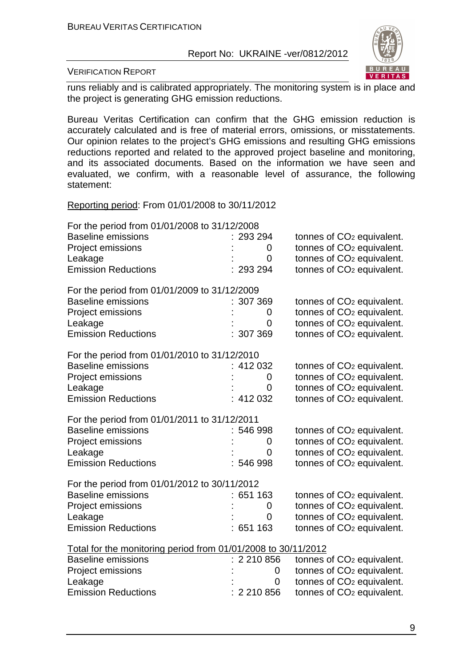

#### VERIFICATION REPORT

runs reliably and is calibrated appropriately. The monitoring system is in place and the project is generating GHG emission reductions.

Bureau Veritas Certification can confirm that the GHG emission reduction is accurately calculated and is free of material errors, omissions, or misstatements. Our opinion relates to the project's GHG emissions and resulting GHG emissions reductions reported and related to the approved project baseline and monitoring, and its associated documents. Based on the information we have seen and evaluated, we confirm, with a reasonable level of assurance, the following statement:

Reporting period: From 01/01/2008 to 30/11/2012

| For the period from 01/01/2008 to 31/12/2008                                               |           |                                       |
|--------------------------------------------------------------------------------------------|-----------|---------------------------------------|
| <b>Baseline emissions</b>                                                                  | 293 294   | tonnes of CO <sub>2</sub> equivalent. |
| Project emissions                                                                          | $\Omega$  | tonnes of CO <sub>2</sub> equivalent. |
| Leakage                                                                                    | 0         | tonnes of CO <sub>2</sub> equivalent. |
| <b>Emission Reductions</b>                                                                 | : 293294  | tonnes of CO <sub>2</sub> equivalent. |
|                                                                                            |           |                                       |
| For the period from 01/01/2009 to 31/12/2009                                               |           |                                       |
| <b>Baseline emissions</b>                                                                  | : 307369  | tonnes of CO <sub>2</sub> equivalent. |
| Project emissions                                                                          | 0         | tonnes of CO <sub>2</sub> equivalent. |
| Leakage                                                                                    | 0         | tonnes of CO <sub>2</sub> equivalent. |
| <b>Emission Reductions</b>                                                                 | 307 369   | tonnes of CO <sub>2</sub> equivalent. |
| For the period from 01/01/2010 to 31/12/2010                                               |           |                                       |
| <b>Baseline emissions</b>                                                                  | : 412032  | tonnes of CO <sub>2</sub> equivalent. |
| <b>Project emissions</b>                                                                   | 0         | tonnes of CO <sub>2</sub> equivalent. |
| Leakage                                                                                    | 0         | tonnes of CO <sub>2</sub> equivalent. |
| <b>Emission Reductions</b>                                                                 | 412 032   | tonnes of CO <sub>2</sub> equivalent. |
| For the period from 01/01/2011 to 31/12/2011                                               |           |                                       |
| <b>Baseline emissions</b>                                                                  | : 546 998 | tonnes of CO <sub>2</sub> equivalent. |
| Project emissions                                                                          | 0         | tonnes of CO <sub>2</sub> equivalent. |
| Leakage                                                                                    | 0         | tonnes of CO <sub>2</sub> equivalent. |
| <b>Emission Reductions</b>                                                                 | : 546998  | tonnes of CO <sub>2</sub> equivalent. |
|                                                                                            |           |                                       |
| For the period from 01/01/2012 to 30/11/2012                                               |           |                                       |
|                                                                                            |           |                                       |
| <b>Baseline emissions</b>                                                                  | 651 163   | tonnes of CO <sub>2</sub> equivalent. |
| Project emissions                                                                          | 0         | tonnes of CO <sub>2</sub> equivalent. |
| Leakage                                                                                    | 0         | tonnes of CO <sub>2</sub> equivalent. |
| <b>Emission Reductions</b>                                                                 | :651163   | tonnes of CO <sub>2</sub> equivalent. |
|                                                                                            |           |                                       |
| Total for the monitoring period from 01/01/2008 to 30/11/2012<br><b>Baseline emissions</b> | 2 210 856 | tonnes of CO <sub>2</sub> equivalent. |
| Project emissions                                                                          | 0         | tonnes of CO <sub>2</sub> equivalent. |
| Leakage                                                                                    | 0         | tonnes of CO <sub>2</sub> equivalent. |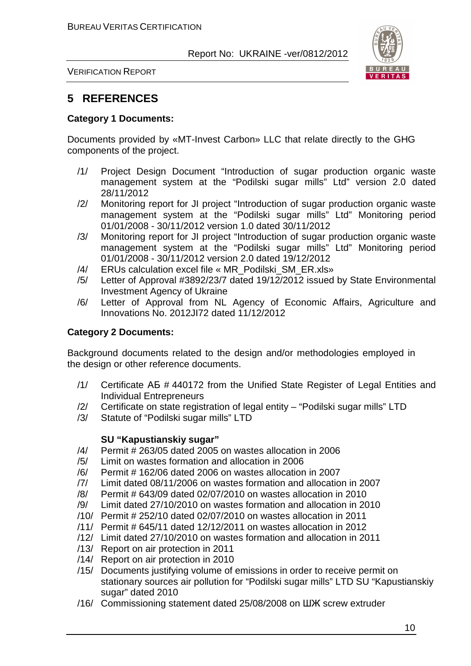

VERIFICATION REPORT

## **5 REFERENCES**

#### **Category 1 Documents:**

Documents provided by «MT-Invest Carbon» LLC that relate directly to the GHG components of the project.

- /1/ Project Design Document "Introduction of sugar production organic waste management system at the "Podilski sugar mills" Ltd" version 2.0 dated 28/11/2012
- /2/ Monitoring report for JI project "Introduction of sugar production organic waste management system at the "Podilski sugar mills" Ltd" Monitoring period 01/01/2008 - 30/11/2012 version 1.0 dated 30/11/2012
- /3/ Monitoring report for JI project "Introduction of sugar production organic waste management system at the "Podilski sugar mills" Ltd" Monitoring period 01/01/2008 - 30/11/2012 version 2.0 dated 19/12/2012
- /4/ ERUs calculation excel file « MR\_Podilski\_SM\_ER.xls»
- /5/ Letter of Approval #3892/23/7 dated 19/12/2012 issued by State Environmental Investment Agency of Ukraine
- /6/ Letter of Approval from NL Agency of Economic Affairs, Agriculture and Innovations No. 2012JI72 dated 11/12/2012

#### **Category 2 Documents:**

Background documents related to the design and/or methodologies employed in the design or other reference documents.

- /1/ Certificate АБ # 440172 from the Unified State Register of Legal Entities and Individual Entrepreneurs
- /2/ Certificate on state registration of legal entity "Podilski sugar mills" LTD
- /3/ Statute of "Podilski sugar mills" LTD

#### **SU "Kapustianskiy sugar"**

- /4/ Permit # 263/05 dated 2005 on wastes allocation in 2006
- /5/ Limit on wastes formation and allocation in 2006
- /6/ Permit # 162/06 dated 2006 on wastes allocation in 2007
- /7/ Limit dated 08/11/2006 on wastes formation and allocation in 2007
- /8/ Permit # 643/09 dated 02/07/2010 on wastes allocation in 2010
- /9/ Limit dated 27/10/2010 on wastes formation and allocation in 2010
- /10/ Permit # 252/10 dated 02/07/2010 on wastes allocation in 2011
- /11/ Permit # 645/11 dated 12/12/2011 on wastes allocation in 2012
- /12/ Limit dated 27/10/2010 on wastes formation and allocation in 2011
- /13/ Report on air protection in 2011
- /14/ Report on air protection in 2010
- /15/ Documents justifying volume of emissions in order to receive permit on stationary sources air pollution for "Podilski sugar mills" LTD SU "Kapustianskiy sugar" dated 2010
- /16/ Commissioning statement dated 25/08/2008 on ШЖ screw extruder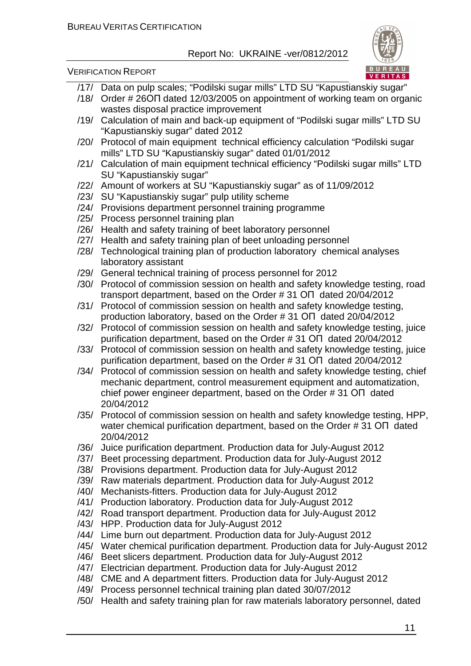

VERIFICATION REPORT

- /17/ Data on pulp scales; "Podilski sugar mills" LTD SU "Kapustianskiy sugar"
- /18/ Order # 26ОП dated 12/03/2005 on appointment of working team on organic wastes disposal practice improvement
- /19/ Calculation of main and back-up equipment of "Podilski sugar mills" LTD SU "Kapustianskiy sugar" dated 2012
- /20/ Protocol of main equipment technical efficiency calculation "Podilski sugar mills" LTD SU "Kapustianskiy sugar" dated 01/01/2012
- /21/ Calculation of main equipment technical efficiency "Podilski sugar mills" LTD SU "Kapustianskiy sugar"
- /22/ Amount of workers at SU "Kapustianskiy sugar" as of 11/09/2012
- /23/ SU "Kapustianskiy sugar" pulp utility scheme
- /24/ Provisions department personnel training programme
- /25/ Process personnel training plan
- /26/ Health and safety training of beet laboratory personnel
- /27/ Health and safety training plan of beet unloading personnel
- /28/ Technological training plan of production laboratory chemical analyses laboratory assistant
- /29/ General technical training of process personnel for 2012
- /30/ Protocol of commission session on health and safety knowledge testing, road transport department, based on the Order # 31 ОП dated 20/04/2012
- /31/ Protocol of commission session on health and safety knowledge testing, production laboratory, based on the Order # 31 ОП dated 20/04/2012
- /32/ Protocol of commission session on health and safety knowledge testing, juice purification department, based on the Order # 31 ОП dated 20/04/2012
- /33/ Protocol of commission session on health and safety knowledge testing, juice purification department, based on the Order # 31 ОП dated 20/04/2012
- /34/ Protocol of commission session on health and safety knowledge testing, chief mechanic department, control measurement equipment and automatization, chief power engineer department, based on the Order # 31 ОП dated 20/04/2012
- /35/ Protocol of commission session on health and safety knowledge testing, HPP, water chemical purification department, based on the Order # 31 ОП dated 20/04/2012
- /36/ Juice purification department. Production data for July-August 2012
- /37/ Beet processing department. Production data for July-August 2012
- /38/ Provisions department. Production data for July-August 2012
- /39/ Raw materials department. Production data for July-August 2012
- /40/ Mechanists-fitters. Production data for July-August 2012
- /41/ Production laboratory. Production data for July-August 2012
- /42/ Road transport department. Production data for July-August 2012
- /43/ HPP. Production data for July-August 2012
- /44/ Lime burn out department. Production data for July-August 2012
- /45/ Water chemical purification department. Production data for July-August 2012
- /46/ Beet slicers department. Production data for July-August 2012
- /47/ Electrician department. Production data for July-August 2012
- /48/ CME and A department fitters. Production data for July-August 2012
- /49/ Process personnel technical training plan dated 30/07/2012
- /50/ Health and safety training plan for raw materials laboratory personnel, dated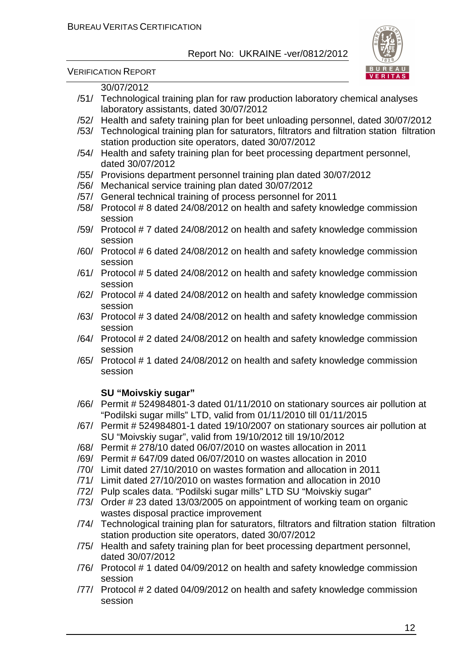

VERIFICATION REPORT

### 30/07/2012

- /51/ Technological training plan for raw production laboratory chemical analyses laboratory assistants, dated 30/07/2012
- /52/ Health and safety training plan for beet unloading personnel, dated 30/07/2012
- /53/ Technological training plan for saturators, filtrators and filtration station filtration station production site operators, dated 30/07/2012
- /54/ Health and safety training plan for beet processing department personnel, dated 30/07/2012
- /55/ Provisions department personnel training plan dated 30/07/2012
- /56/ Mechanical service training plan dated 30/07/2012
- /57/ General technical training of process personnel for 2011
- /58/ Protocol # 8 dated 24/08/2012 on health and safety knowledge commission session
- /59/ Protocol # 7 dated 24/08/2012 on health and safety knowledge commission session
- /60/ Protocol # 6 dated 24/08/2012 on health and safety knowledge commission session
- /61/ Protocol # 5 dated 24/08/2012 on health and safety knowledge commission session
- /62/ Protocol # 4 dated 24/08/2012 on health and safety knowledge commission session
- /63/ Protocol # 3 dated 24/08/2012 on health and safety knowledge commission session
- /64/ Protocol # 2 dated 24/08/2012 on health and safety knowledge commission session
- /65/ Protocol # 1 dated 24/08/2012 on health and safety knowledge commission session

## **SU "Moivskiy sugar"**

- /66/ Permit # 524984801-3 dated 01/11/2010 on stationary sources air pollution at "Podilski sugar mills" LTD, valid from 01/11/2010 till 01/11/2015
- /67/ Permit # 524984801-1 dated 19/10/2007 on stationary sources air pollution at SU "Moivskiy sugar", valid from 19/10/2012 till 19/10/2012
- /68/ Permit # 278/10 dated 06/07/2010 on wastes allocation in 2011
- /69/ Permit # 647/09 dated 06/07/2010 on wastes allocation in 2010
- /70/ Limit dated 27/10/2010 on wastes formation and allocation in 2011
- /71/ Limit dated 27/10/2010 on wastes formation and allocation in 2010
- /72/ Pulp scales data. "Podilski sugar mills" LTD SU "Moivskiy sugar"
- /73/ Order # 23 dated 13/03/2005 on appointment of working team on organic wastes disposal practice improvement
- /74/ Technological training plan for saturators, filtrators and filtration station filtration station production site operators, dated 30/07/2012
- /75/ Health and safety training plan for beet processing department personnel, dated 30/07/2012
- /76/ Protocol # 1 dated 04/09/2012 on health and safety knowledge commission session
- /77/ Protocol # 2 dated 04/09/2012 on health and safety knowledge commission session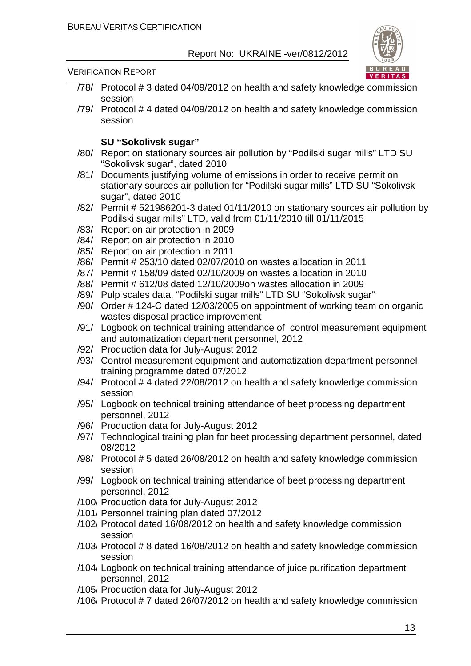

#### VERIFICATION REPORT

- /78/ Protocol # 3 dated 04/09/2012 on health and safety knowledge commission session
- /79/ Protocol # 4 dated 04/09/2012 on health and safety knowledge commission session

#### **SU "Sokolivsk sugar"**

- /80/ Report on stationary sources air pollution by "Podilski sugar mills" LTD SU "Sokolivsk sugar", dated 2010
- /81/ Documents justifying volume of emissions in order to receive permit on stationary sources air pollution for "Podilski sugar mills" LTD SU "Sokolivsk sugar", dated 2010
- /82/ Permit # 521986201-3 dated 01/11/2010 on stationary sources air pollution by Podilski sugar mills" LTD, valid from 01/11/2010 till 01/11/2015
- /83/ Report on air protection in 2009
- /84/ Report on air protection in 2010
- /85/ Report on air protection in 2011
- /86/ Permit # 253/10 dated 02/07/2010 on wastes allocation in 2011
- /87/ Permit # 158/09 dated 02/10/2009 on wastes allocation in 2010
- /88/ Permit # 612/08 dated 12/10/2009on wastes allocation in 2009
- /89/ Pulp scales data, "Podilski sugar mills" LTD SU "Sokolivsk sugar"
- /90/ Order # 124-С dated 12/03/2005 on appointment of working team on organic wastes disposal practice improvement
- /91/ Logbook on technical training attendance of control measurement equipment and automatization department personnel, 2012
- /92/ Production data for July-August 2012
- /93/ Control measurement equipment and automatization department personnel training programme dated 07/2012
- /94/ Protocol # 4 dated 22/08/2012 on health and safety knowledge commission session
- /95/ Logbook on technical training attendance of beet processing department personnel, 2012
- /96/ Production data for July-August 2012
- /97/ Technological training plan for beet processing department personnel, dated 08/2012
- /98/ Protocol # 5 dated 26/08/2012 on health and safety knowledge commission session
- /99/ Logbook on technical training attendance of beet processing department personnel, 2012
- /100/ Production data for July-August 2012
- /101/ Personnel training plan dated 07/2012
- /102/ Protocol dated 16/08/2012 on health and safety knowledge commission session
- /103/ Protocol # 8 dated 16/08/2012 on health and safety knowledge commission session
- /104/ Logbook on technical training attendance of juice purification department personnel, 2012
- /105/ Production data for July-August 2012
- /106/ Protocol # 7 dated 26/07/2012 on health and safety knowledge commission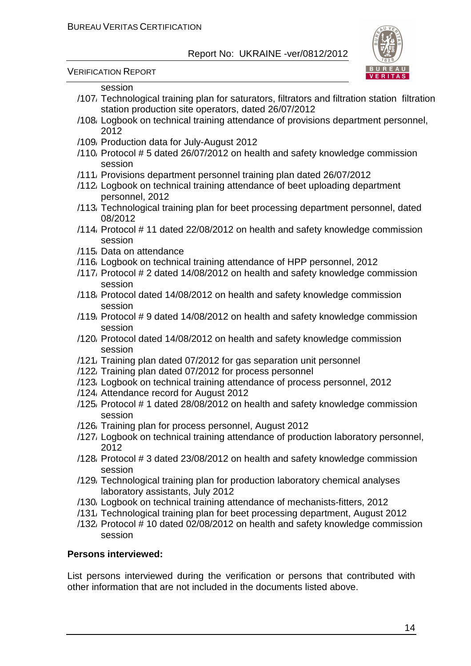

VERIFICATION REPORT

#### session

- /107/ Technological training plan for saturators, filtrators and filtration station filtration station production site operators, dated 26/07/2012
- /108/ Logbook on technical training attendance of provisions department personnel, 2012
- /109/ Production data for July-August 2012
- /110/ Protocol # 5 dated 26/07/2012 on health and safety knowledge commission session
- /111/ Provisions department personnel training plan dated 26/07/2012
- /112/ Logbook on technical training attendance of beet uploading department personnel, 2012
- /113/ Technological training plan for beet processing department personnel, dated 08/2012
- /114/ Protocol # 11 dated 22/08/2012 on health and safety knowledge commission session
- /115/ Data on attendance
- /116/ Logbook on technical training attendance of HPP personnel, 2012
- /117/ Protocol # 2 dated 14/08/2012 on health and safety knowledge commission session
- /118/ Protocol dated 14/08/2012 on health and safety knowledge commission session
- /119/ Protocol # 9 dated 14/08/2012 on health and safety knowledge commission session
- /120/ Protocol dated 14/08/2012 on health and safety knowledge commission session
- /121/ Training plan dated 07/2012 for gas separation unit personnel
- /122/ Training plan dated 07/2012 for process personnel
- /123/ Logbook on technical training attendance of process personnel, 2012
- /124/ Attendance record for August 2012
- /125/ Protocol # 1 dated 28/08/2012 on health and safety knowledge commission session
- /126/ Training plan for process personnel, August 2012
- /127/ Logbook on technical training attendance of production laboratory personnel, 2012
- /128/ Protocol # 3 dated 23/08/2012 on health and safety knowledge commission session
- /129/ Technological training plan for production laboratory chemical analyses laboratory assistants, July 2012
- /130/ Logbook on technical training attendance of mechanists-fitters, 2012
- /131/ Technological training plan for beet processing department, August 2012
- /132/ Protocol # 10 dated 02/08/2012 on health and safety knowledge commission session

#### **Persons interviewed:**

List persons interviewed during the verification or persons that contributed with other information that are not included in the documents listed above.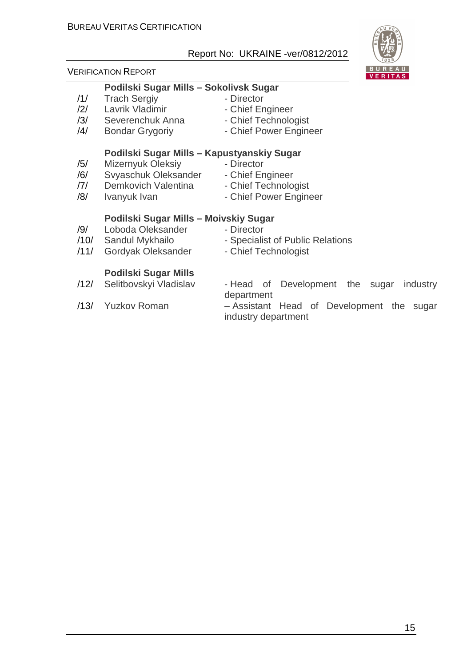#### VERIFICATION REPORT

## **Podilski Sugar Mills – Sokolivsk Sugar**

- /1/ Trach Sergiy  **Director**
- 12/ Lavrik Vladimir<br>
13/ Severenchuk Anna<br>
13/ Severenchuk Anna<br>
13/ Chief Technology /3/ Severenchuk Anna - Chief Technologist
- /4/ Bondar Grygoriy Chief Power Engineer

## **Podilski Sugar Mills – Kapustyanskiy Sugar**

- /5/ Mizernyuk Oleksiy Director
- /6/ Svyaschuk Oleksander Chief Engineer
- /7/ Demkovich Valentina Chief Technologist
- /8/ Ivanyuk Ivan Chief Power Engineer

#### **Podilski Sugar Mills – Moivskiy Sugar**

- /9/ Loboda Oleksander Director
- /10/ Sandul Mykhailo Specialist of Public Relations
- /11/ Gordyak Oleksander Chief Technologist

## **Podilski Sugar Mills**

- 
- 
- /12/ Selitbovskyi Vladislav Head of Development the sugar industry department
- /13/ Yuzkov Roman Assistant Head of Development the sugar industry department



- 
- 
- 
- 
- 
- -
	-
	-
	- -
- 
-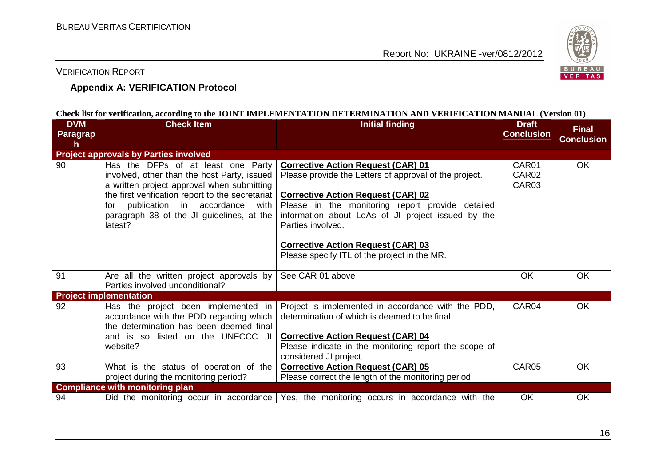

VERIFICATION REPORT

## **Appendix A: VERIFICATION Protocol**

|                                    |                                                                                                                                                                                                                                                                                      | CHECK IISETOL VELIHCAHOH, ACCOLUMIZ IO HIE JOHN E HOHE ELEMENTATION DE LEKWIHNATION AND VEKIFICATION MANOAL (VELSION 01)                                                                                                                                                                                                                                                     |                                                 |                                   |
|------------------------------------|--------------------------------------------------------------------------------------------------------------------------------------------------------------------------------------------------------------------------------------------------------------------------------------|------------------------------------------------------------------------------------------------------------------------------------------------------------------------------------------------------------------------------------------------------------------------------------------------------------------------------------------------------------------------------|-------------------------------------------------|-----------------------------------|
| <b>DVM</b><br><b>Paragrap</b><br>h | <b>Check Item</b>                                                                                                                                                                                                                                                                    | <b>Initial finding</b>                                                                                                                                                                                                                                                                                                                                                       | <b>Draft</b><br><b>Conclusion</b>               | <b>Final</b><br><b>Conclusion</b> |
|                                    | <b>Project approvals by Parties involved</b>                                                                                                                                                                                                                                         |                                                                                                                                                                                                                                                                                                                                                                              |                                                 |                                   |
| 90                                 | Has the DFPs of at least one Party<br>involved, other than the host Party, issued<br>a written project approval when submitting<br>the first verification report to the secretariat<br>for publication in accordance<br>with<br>paragraph 38 of the JI guidelines, at the<br>latest? | <b>Corrective Action Request (CAR) 01</b><br>Please provide the Letters of approval of the project.<br><b>Corrective Action Request (CAR) 02</b><br>Please in the monitoring report provide detailed<br>information about LoAs of JI project issued by the<br>Parties involved.<br><b>Corrective Action Request (CAR) 03</b><br>Please specify ITL of the project in the MR. | CAR01<br>CAR <sub>02</sub><br>CAR <sub>03</sub> | OK                                |
| 91                                 | Are all the written project approvals by<br>Parties involved unconditional?                                                                                                                                                                                                          | See CAR 01 above                                                                                                                                                                                                                                                                                                                                                             | OK                                              | <b>OK</b>                         |
|                                    | <b>Project implementation</b>                                                                                                                                                                                                                                                        |                                                                                                                                                                                                                                                                                                                                                                              |                                                 |                                   |
| 92                                 | Has the project been implemented in<br>accordance with the PDD regarding which<br>the determination has been deemed final<br>and is so listed on the UNFCCC JI<br>website?                                                                                                           | Project is implemented in accordance with the PDD,<br>determination of which is deemed to be final<br><b>Corrective Action Request (CAR) 04</b><br>Please indicate in the monitoring report the scope of<br>considered JI project.                                                                                                                                           | CAR04                                           | <b>OK</b>                         |
| 93                                 | What is the status of operation of the                                                                                                                                                                                                                                               | <b>Corrective Action Request (CAR) 05</b>                                                                                                                                                                                                                                                                                                                                    | CAR05                                           | OK                                |
|                                    | project during the monitoring period?                                                                                                                                                                                                                                                | Please correct the length of the monitoring period                                                                                                                                                                                                                                                                                                                           |                                                 |                                   |
|                                    | <b>Compliance with monitoring plan</b>                                                                                                                                                                                                                                               |                                                                                                                                                                                                                                                                                                                                                                              |                                                 |                                   |
| 94                                 |                                                                                                                                                                                                                                                                                      | Did the monitoring occur in accordance Yes, the monitoring occurs in accordance with the                                                                                                                                                                                                                                                                                     | OK                                              | <b>OK</b>                         |

#### Check list for verification, according to the JOINT IMPI EMENTATION DETERMINATION AND VERIFICATION MANUAL (Version 01)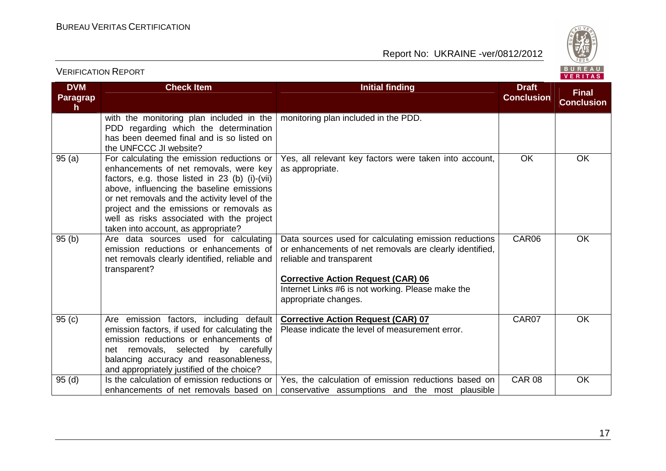VERIFICATION REPORT

Report No: UKRAINE -ver/0812/2012



#### **DVM Paragraph Check Item Initial finding Draft Conclusion Final Conclusion**with the monitoring plan included in the PDD regarding which the determination has been deemed final and is so listed on the UNFCCC JI website? 95 (a) For calculating the emission reductions or monitoring plan included in the PDD. enhancements of net removals, were key factors, e.g. those listed in 23 (b) (i)-(vii) above, influencing the baseline emissions or net removals and the activity level of the project and the emissions or removals as well as risks associated with the project taken into account, as appropriate? 95 (b) | Are data sources used for calculating Yes, all relevant key factors were taken into account, as appropriate. OK OK emission reductions or enhancements of net removals clearly identified, reliable and transparent? Data sources used for calculating emission reductions or enhancements of net removals are clearly identified, reliable and transparent **Corrective Action Request (CAR) 06**  Internet Links #6 is not working. Please make the appropriate changes. CAR06 OK 95 (c) Are emission factors, including default emission factors, if used for calculating the emission reductions or enhancements of net removals, selected by carefully balancing accuracy and reasonableness, and appropriately justified of the choice? 95 (d) Sthe calculation of emission reductions or **Corrective Action Request (CAR) 07** Please indicate the level of measurement error. CAR07 OK enhancements of net removals based on Yes, the calculation of emission reductions based on conservative assumptions and the most plausible CAR 08 OK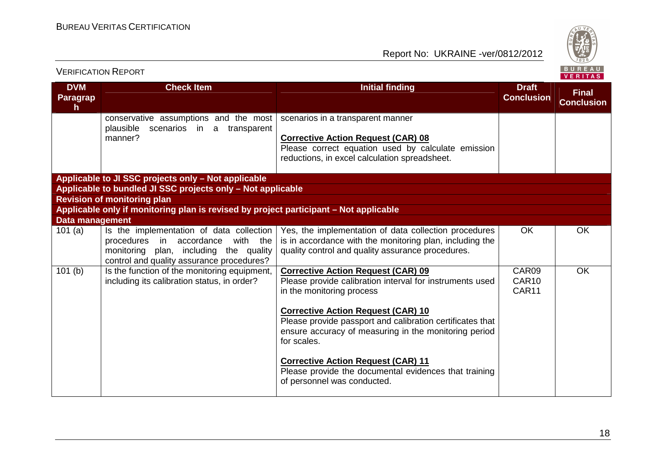

|                                     |                                                                                                                                                                         |                                                                                                                                                                                |                                     | VERITAS                           |
|-------------------------------------|-------------------------------------------------------------------------------------------------------------------------------------------------------------------------|--------------------------------------------------------------------------------------------------------------------------------------------------------------------------------|-------------------------------------|-----------------------------------|
| <b>DVM</b><br><b>Paragrap</b><br>h. | <b>Check Item</b>                                                                                                                                                       | <b>Initial finding</b>                                                                                                                                                         | <b>Draft</b><br><b>Conclusion</b>   | <b>Final</b><br><b>Conclusion</b> |
|                                     | conservative assumptions and the most                                                                                                                                   | scenarios in a transparent manner                                                                                                                                              |                                     |                                   |
|                                     | plausible<br>scenarios in a<br>transparent<br>manner?                                                                                                                   | <b>Corrective Action Request (CAR) 08</b><br>Please correct equation used by calculate emission<br>reductions, in excel calculation spreadsheet.                               |                                     |                                   |
|                                     | Applicable to JI SSC projects only - Not applicable                                                                                                                     |                                                                                                                                                                                |                                     |                                   |
|                                     | Applicable to bundled JI SSC projects only - Not applicable                                                                                                             |                                                                                                                                                                                |                                     |                                   |
|                                     | <b>Revision of monitoring plan</b>                                                                                                                                      |                                                                                                                                                                                |                                     |                                   |
|                                     | Applicable only if monitoring plan is revised by project participant - Not applicable                                                                                   |                                                                                                                                                                                |                                     |                                   |
| <b>Data management</b>              |                                                                                                                                                                         |                                                                                                                                                                                |                                     |                                   |
| 101(a)                              | Is the implementation of data collection<br>with the<br>procedures in accordance<br>monitoring plan, including the quality<br>control and quality assurance procedures? | Yes, the implementation of data collection procedures<br>is in accordance with the monitoring plan, including the<br>quality control and quality assurance procedures.         | OK                                  | OK                                |
| $\overline{101}$ (b)                | Is the function of the monitoring equipment,<br>including its calibration status, in order?                                                                             | <b>Corrective Action Request (CAR) 09</b><br>Please provide calibration interval for instruments used<br>in the monitoring process                                             | CAR09<br>CAR10<br>CAR <sub>11</sub> | OK                                |
|                                     |                                                                                                                                                                         | <b>Corrective Action Request (CAR) 10</b><br>Please provide passport and calibration certificates that<br>ensure accuracy of measuring in the monitoring period<br>for scales. |                                     |                                   |
|                                     |                                                                                                                                                                         | <b>Corrective Action Request (CAR) 11</b><br>Please provide the documental evidences that training<br>of personnel was conducted.                                              |                                     |                                   |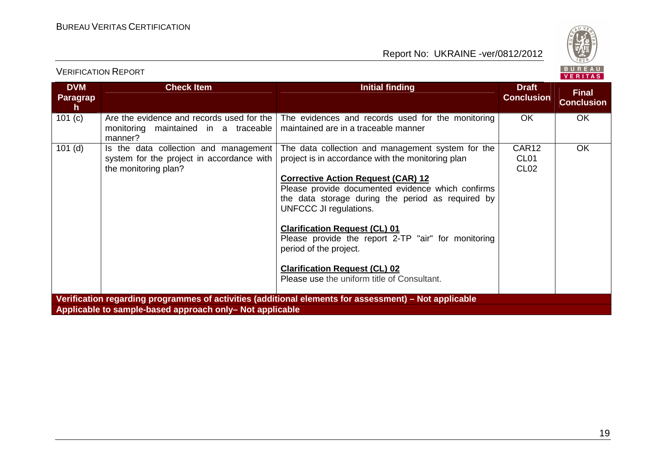



|  |  | - 25 |       |  |     |
|--|--|------|-------|--|-----|
|  |  |      | ER T. |  | a s |

| <b>DVM</b><br><b>Paragrap</b><br>h | <b>Check Item</b>                                                                                          | <b>Initial finding</b>                                                                                                                                                        | <b>Draft</b><br><b>Conclusion</b>             | <b>Final</b><br><b>Conclusion</b> |
|------------------------------------|------------------------------------------------------------------------------------------------------------|-------------------------------------------------------------------------------------------------------------------------------------------------------------------------------|-----------------------------------------------|-----------------------------------|
| 101 (c)                            | Are the evidence and records used for the<br>monitoring maintained in a traceable<br>manner?               | The evidences and records used for the monitoring<br>maintained are in a traceable manner                                                                                     | <b>OK</b>                                     | <b>OK</b>                         |
| $101$ (d)                          | Is the data collection and management<br>system for the project in accordance with<br>the monitoring plan? | The data collection and management system for the<br>project is in accordance with the monitoring plan                                                                        | CAR12<br>CL <sub>01</sub><br>CL <sub>02</sub> | <b>OK</b>                         |
|                                    |                                                                                                            | <b>Corrective Action Request (CAR) 12</b><br>Please provide documented evidence which confirms<br>the data storage during the period as required by<br>UNFCCC JI regulations. |                                               |                                   |
|                                    |                                                                                                            | <b>Clarification Request (CL) 01</b><br>Please provide the report 2-TP "air" for monitoring<br>period of the project.                                                         |                                               |                                   |
|                                    |                                                                                                            | <b>Clarification Request (CL) 02</b><br>Please use the uniform title of Consultant.                                                                                           |                                               |                                   |
|                                    | Applicable to sample-based approach only- Not applicable                                                   | Verification regarding programmes of activities (additional elements for assessment) – Not applicable                                                                         |                                               |                                   |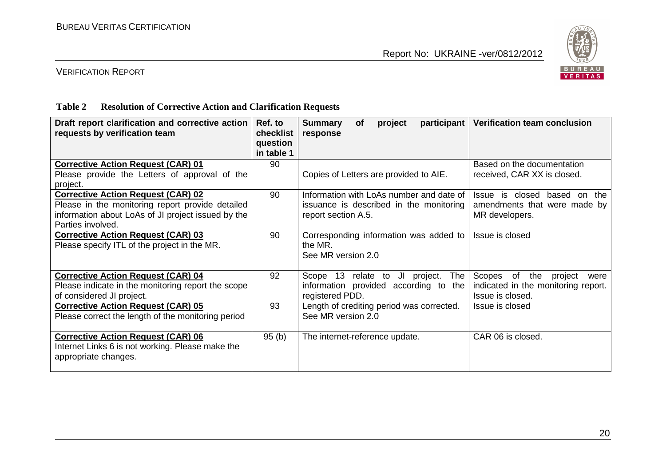

## VERIFICATION REPORT

#### **Table 2 Resolution of Corrective Action and Clarification Requests**

| Draft report clarification and corrective action<br>requests by verification team                                                                                        | Ref. to<br>checklist<br>question<br>in table 1 | <b>Summary</b><br>participant<br>project<br><b>of</b><br>response                                          | Verification team conclusion                                                                |
|--------------------------------------------------------------------------------------------------------------------------------------------------------------------------|------------------------------------------------|------------------------------------------------------------------------------------------------------------|---------------------------------------------------------------------------------------------|
| <b>Corrective Action Request (CAR) 01</b><br>Please provide the Letters of approval of the<br>project.                                                                   | 90                                             | Copies of Letters are provided to AIE.                                                                     | Based on the documentation<br>received, CAR XX is closed.                                   |
| <b>Corrective Action Request (CAR) 02</b><br>Please in the monitoring report provide detailed<br>information about LoAs of JI project issued by the<br>Parties involved. | 90                                             | Information with LoAs number and date of<br>issuance is described in the monitoring<br>report section A.5. | Issue is closed based on<br>the<br>amendments that were made by<br>MR developers.           |
| <b>Corrective Action Request (CAR) 03</b><br>Please specify ITL of the project in the MR.                                                                                | 90                                             | Corresponding information was added to<br>the MR.<br>See MR version 2.0                                    | Issue is closed                                                                             |
| <b>Corrective Action Request (CAR) 04</b><br>Please indicate in the monitoring report the scope<br>of considered JI project.                                             | 92                                             | Scope 13 relate to JI project.<br>The<br>information provided according to the<br>registered PDD.          | Scopes of the<br>project<br>were<br>indicated in the monitoring report.<br>Issue is closed. |
| <b>Corrective Action Request (CAR) 05</b><br>Please correct the length of the monitoring period                                                                          | 93                                             | Length of crediting period was corrected.<br>See MR version 2.0                                            | Issue is closed                                                                             |
| <b>Corrective Action Request (CAR) 06</b><br>Internet Links 6 is not working. Please make the<br>appropriate changes.                                                    | 95(b)                                          | The internet-reference update.                                                                             | CAR 06 is closed.                                                                           |